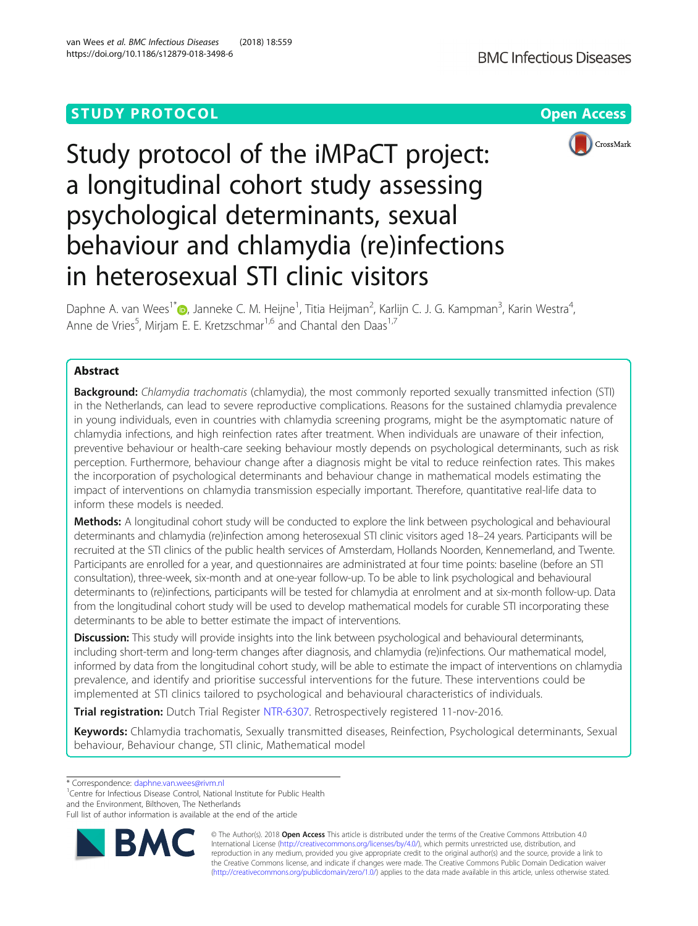# **STUDY PROTOCOL CONSUMING THE CONSUMING OPEN ACCESS**

**BMC Infectious Diseases** 



# Study protocol of the iMPaCT project: a longitudinal cohort study assessing psychological determinants, sexual behaviour and chlamydia (re)infections in heterosexual STI clinic visitors

Daphne A. van Wees<sup>1[\\*](http://orcid.org/0000-0002-6562-7029)</sup>®, Janneke C. M. Heijne<sup>1</sup>, Titia Heijman<sup>2</sup>, Karlijn C. J. G. Kampman<sup>3</sup>, Karin Westra<sup>4</sup> , Anne de Vries<sup>5</sup>, Mirjam E. E. Kretzschmar<sup>1,6</sup> and Chantal den Daas<sup>1,7</sup>

# Abstract

Background: Chlamydia trachomatis (chlamydia), the most commonly reported sexually transmitted infection (STI) in the Netherlands, can lead to severe reproductive complications. Reasons for the sustained chlamydia prevalence in young individuals, even in countries with chlamydia screening programs, might be the asymptomatic nature of chlamydia infections, and high reinfection rates after treatment. When individuals are unaware of their infection, preventive behaviour or health-care seeking behaviour mostly depends on psychological determinants, such as risk perception. Furthermore, behaviour change after a diagnosis might be vital to reduce reinfection rates. This makes the incorporation of psychological determinants and behaviour change in mathematical models estimating the impact of interventions on chlamydia transmission especially important. Therefore, quantitative real-life data to inform these models is needed.

Methods: A longitudinal cohort study will be conducted to explore the link between psychological and behavioural determinants and chlamydia (re)infection among heterosexual STI clinic visitors aged 18–24 years. Participants will be recruited at the STI clinics of the public health services of Amsterdam, Hollands Noorden, Kennemerland, and Twente. Participants are enrolled for a year, and questionnaires are administrated at four time points: baseline (before an STI consultation), three-week, six-month and at one-year follow-up. To be able to link psychological and behavioural determinants to (re)infections, participants will be tested for chlamydia at enrolment and at six-month follow-up. Data from the longitudinal cohort study will be used to develop mathematical models for curable STI incorporating these determinants to be able to better estimate the impact of interventions.

Discussion: This study will provide insights into the link between psychological and behavioural determinants, including short-term and long-term changes after diagnosis, and chlamydia (re)infections. Our mathematical model, informed by data from the longitudinal cohort study, will be able to estimate the impact of interventions on chlamydia prevalence, and identify and prioritise successful interventions for the future. These interventions could be implemented at STI clinics tailored to psychological and behavioural characteristics of individuals.

Trial registration: Dutch Trial Register [NTR-6307.](http://www.trialregister.nl/trialreg/admin/rctview.asp?TC=6307) Retrospectively registered 11-nov-2016.

Keywords: Chlamydia trachomatis, Sexually transmitted diseases, Reinfection, Psychological determinants, Sexual behaviour, Behaviour change, STI clinic, Mathematical model

\* Correspondence: [daphne.van.wees@rivm.nl](mailto:daphne.van.wees@rivm.nl) <sup>1</sup>

<sup>1</sup> Centre for Infectious Disease Control, National Institute for Public Health and the Environment, Bilthoven, The Netherlands

Full list of author information is available at the end of the article



© The Author(s). 2018 Open Access This article is distributed under the terms of the Creative Commons Attribution 4.0 International License [\(http://creativecommons.org/licenses/by/4.0/](http://creativecommons.org/licenses/by/4.0/)), which permits unrestricted use, distribution, and reproduction in any medium, provided you give appropriate credit to the original author(s) and the source, provide a link to the Creative Commons license, and indicate if changes were made. The Creative Commons Public Domain Dedication waiver [\(http://creativecommons.org/publicdomain/zero/1.0/](http://creativecommons.org/publicdomain/zero/1.0/)) applies to the data made available in this article, unless otherwise stated.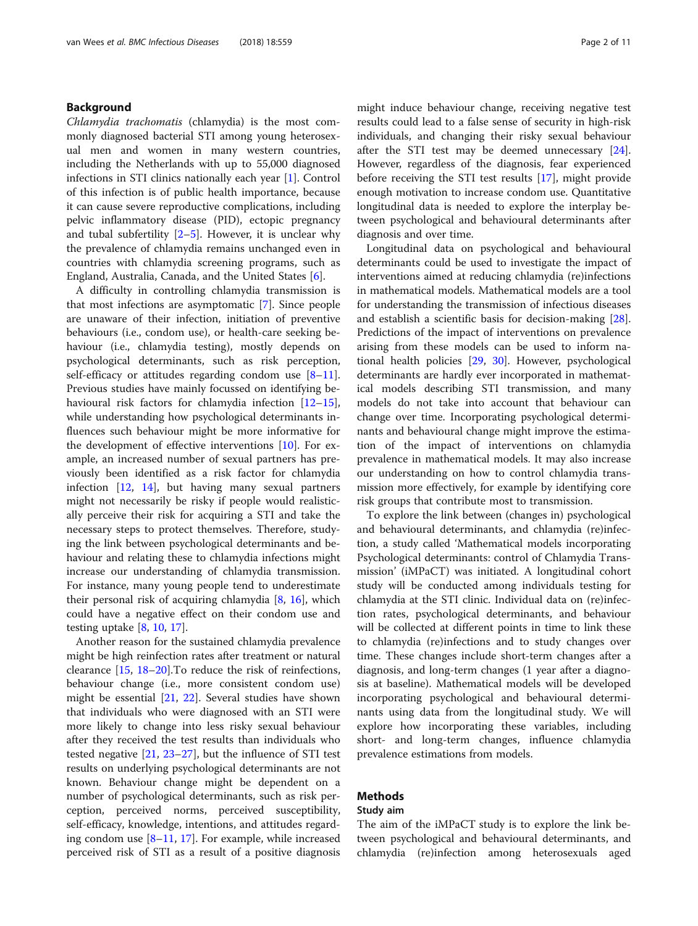# Background

Chlamydia trachomatis (chlamydia) is the most commonly diagnosed bacterial STI among young heterosexual men and women in many western countries, including the Netherlands with up to 55,000 diagnosed infections in STI clinics nationally each year [\[1](#page-8-0)]. Control of this infection is of public health importance, because it can cause severe reproductive complications, including pelvic inflammatory disease (PID), ectopic pregnancy and tubal subfertility  $[2-5]$  $[2-5]$  $[2-5]$  $[2-5]$  $[2-5]$ . However, it is unclear why the prevalence of chlamydia remains unchanged even in countries with chlamydia screening programs, such as England, Australia, Canada, and the United States [[6](#page-9-0)].

A difficulty in controlling chlamydia transmission is that most infections are asymptomatic [\[7](#page-9-0)]. Since people are unaware of their infection, initiation of preventive behaviours (i.e., condom use), or health-care seeking behaviour (i.e., chlamydia testing), mostly depends on psychological determinants, such as risk perception, self-efficacy or attitudes regarding condom use [[8](#page-9-0)–[11](#page-9-0)]. Previous studies have mainly focussed on identifying be-havioural risk factors for chlamydia infection [[12](#page-9-0)–[15](#page-9-0)], while understanding how psychological determinants influences such behaviour might be more informative for the development of effective interventions [[10\]](#page-9-0). For example, an increased number of sexual partners has previously been identified as a risk factor for chlamydia infection [\[12](#page-9-0), [14\]](#page-9-0), but having many sexual partners might not necessarily be risky if people would realistically perceive their risk for acquiring a STI and take the necessary steps to protect themselves. Therefore, studying the link between psychological determinants and behaviour and relating these to chlamydia infections might increase our understanding of chlamydia transmission. For instance, many young people tend to underestimate their personal risk of acquiring chlamydia [[8,](#page-9-0) [16](#page-9-0)], which could have a negative effect on their condom use and testing uptake [\[8](#page-9-0), [10](#page-9-0), [17](#page-9-0)].

Another reason for the sustained chlamydia prevalence might be high reinfection rates after treatment or natural clearance [\[15](#page-9-0), [18](#page-9-0)–[20](#page-9-0)].To reduce the risk of reinfections, behaviour change (i.e., more consistent condom use) might be essential [\[21](#page-9-0), [22](#page-9-0)]. Several studies have shown that individuals who were diagnosed with an STI were more likely to change into less risky sexual behaviour after they received the test results than individuals who tested negative [[21,](#page-9-0) [23](#page-9-0)–[27\]](#page-9-0), but the influence of STI test results on underlying psychological determinants are not known. Behaviour change might be dependent on a number of psychological determinants, such as risk perception, perceived norms, perceived susceptibility, self-efficacy, knowledge, intentions, and attitudes regarding condom use  $[8-11, 17]$  $[8-11, 17]$  $[8-11, 17]$  $[8-11, 17]$  $[8-11, 17]$ . For example, while increased perceived risk of STI as a result of a positive diagnosis might induce behaviour change, receiving negative test results could lead to a false sense of security in high-risk individuals, and changing their risky sexual behaviour after the STI test may be deemed unnecessary [\[24](#page-9-0)]. However, regardless of the diagnosis, fear experienced before receiving the STI test results [\[17](#page-9-0)], might provide enough motivation to increase condom use. Quantitative longitudinal data is needed to explore the interplay between psychological and behavioural determinants after diagnosis and over time.

Longitudinal data on psychological and behavioural determinants could be used to investigate the impact of interventions aimed at reducing chlamydia (re)infections in mathematical models. Mathematical models are a tool for understanding the transmission of infectious diseases and establish a scientific basis for decision-making [\[28](#page-9-0)]. Predictions of the impact of interventions on prevalence arising from these models can be used to inform national health policies [[29,](#page-9-0) [30](#page-9-0)]. However, psychological determinants are hardly ever incorporated in mathematical models describing STI transmission, and many models do not take into account that behaviour can change over time. Incorporating psychological determinants and behavioural change might improve the estimation of the impact of interventions on chlamydia prevalence in mathematical models. It may also increase our understanding on how to control chlamydia transmission more effectively, for example by identifying core risk groups that contribute most to transmission.

To explore the link between (changes in) psychological and behavioural determinants, and chlamydia (re)infection, a study called 'Mathematical models incorporating Psychological determinants: control of Chlamydia Transmission' (iMPaCT) was initiated. A longitudinal cohort study will be conducted among individuals testing for chlamydia at the STI clinic. Individual data on (re)infection rates, psychological determinants, and behaviour will be collected at different points in time to link these to chlamydia (re)infections and to study changes over time. These changes include short-term changes after a diagnosis, and long-term changes (1 year after a diagnosis at baseline). Mathematical models will be developed incorporating psychological and behavioural determinants using data from the longitudinal study. We will explore how incorporating these variables, including short- and long-term changes, influence chlamydia prevalence estimations from models.

# Methods

#### Study aim

The aim of the iMPaCT study is to explore the link between psychological and behavioural determinants, and chlamydia (re)infection among heterosexuals aged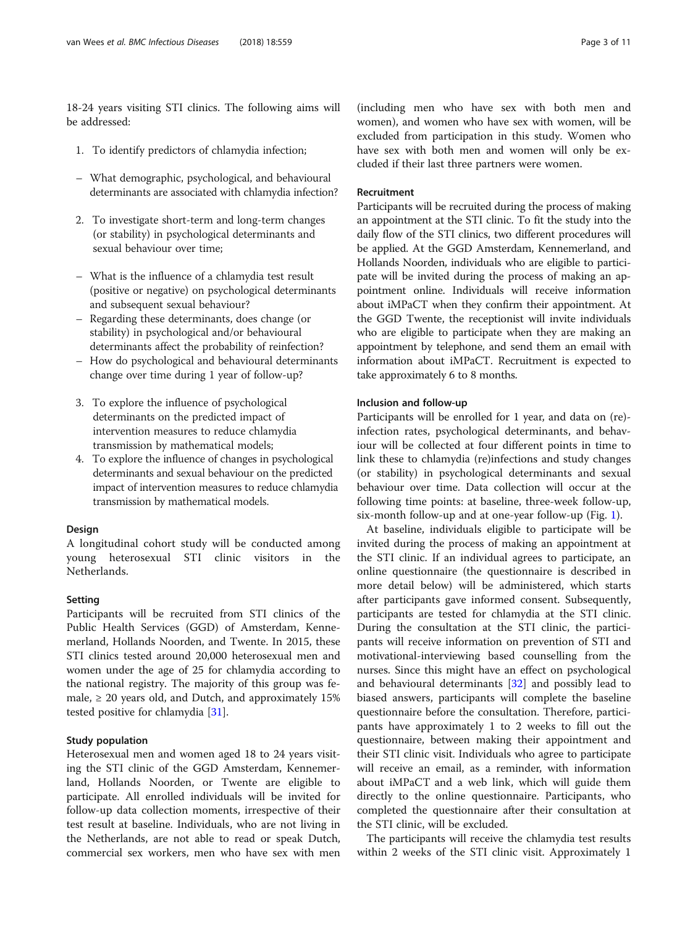18-24 years visiting STI clinics. The following aims will be addressed:

- 1. To identify predictors of chlamydia infection;
- What demographic, psychological, and behavioural determinants are associated with chlamydia infection?
- 2. To investigate short-term and long-term changes (or stability) in psychological determinants and sexual behaviour over time;
- What is the influence of a chlamydia test result (positive or negative) on psychological determinants and subsequent sexual behaviour?
- Regarding these determinants, does change (or stability) in psychological and/or behavioural determinants affect the probability of reinfection?
- How do psychological and behavioural determinants change over time during 1 year of follow-up?
- 3. To explore the influence of psychological determinants on the predicted impact of intervention measures to reduce chlamydia transmission by mathematical models;
- 4. To explore the influence of changes in psychological determinants and sexual behaviour on the predicted impact of intervention measures to reduce chlamydia transmission by mathematical models.

# Design

A longitudinal cohort study will be conducted among young heterosexual STI clinic visitors in the Netherlands.

# Setting

Participants will be recruited from STI clinics of the Public Health Services (GGD) of Amsterdam, Kennemerland, Hollands Noorden, and Twente. In 2015, these STI clinics tested around 20,000 heterosexual men and women under the age of 25 for chlamydia according to the national registry. The majority of this group was female,  $\geq 20$  years old, and Dutch, and approximately 15% tested positive for chlamydia [\[31\]](#page-9-0).

# Study population

Heterosexual men and women aged 18 to 24 years visiting the STI clinic of the GGD Amsterdam, Kennemerland, Hollands Noorden, or Twente are eligible to participate. All enrolled individuals will be invited for follow-up data collection moments, irrespective of their test result at baseline. Individuals, who are not living in the Netherlands, are not able to read or speak Dutch, commercial sex workers, men who have sex with men

(including men who have sex with both men and women), and women who have sex with women, will be excluded from participation in this study. Women who have sex with both men and women will only be excluded if their last three partners were women.

#### Recruitment

Participants will be recruited during the process of making an appointment at the STI clinic. To fit the study into the daily flow of the STI clinics, two different procedures will be applied. At the GGD Amsterdam, Kennemerland, and Hollands Noorden, individuals who are eligible to participate will be invited during the process of making an appointment online. Individuals will receive information about iMPaCT when they confirm their appointment. At the GGD Twente, the receptionist will invite individuals who are eligible to participate when they are making an appointment by telephone, and send them an email with information about iMPaCT. Recruitment is expected to take approximately 6 to 8 months.

# Inclusion and follow-up

Participants will be enrolled for 1 year, and data on (re) infection rates, psychological determinants, and behaviour will be collected at four different points in time to link these to chlamydia (re)infections and study changes (or stability) in psychological determinants and sexual behaviour over time. Data collection will occur at the following time points: at baseline, three-week follow-up, six-month follow-up and at one-year follow-up (Fig. [1](#page-3-0)).

At baseline, individuals eligible to participate will be invited during the process of making an appointment at the STI clinic. If an individual agrees to participate, an online questionnaire (the questionnaire is described in more detail below) will be administered, which starts after participants gave informed consent. Subsequently, participants are tested for chlamydia at the STI clinic. During the consultation at the STI clinic, the participants will receive information on prevention of STI and motivational-interviewing based counselling from the nurses. Since this might have an effect on psychological and behavioural determinants [[32](#page-9-0)] and possibly lead to biased answers, participants will complete the baseline questionnaire before the consultation. Therefore, participants have approximately 1 to 2 weeks to fill out the questionnaire, between making their appointment and their STI clinic visit. Individuals who agree to participate will receive an email, as a reminder, with information about iMPaCT and a web link, which will guide them directly to the online questionnaire. Participants, who completed the questionnaire after their consultation at the STI clinic, will be excluded.

The participants will receive the chlamydia test results within 2 weeks of the STI clinic visit. Approximately 1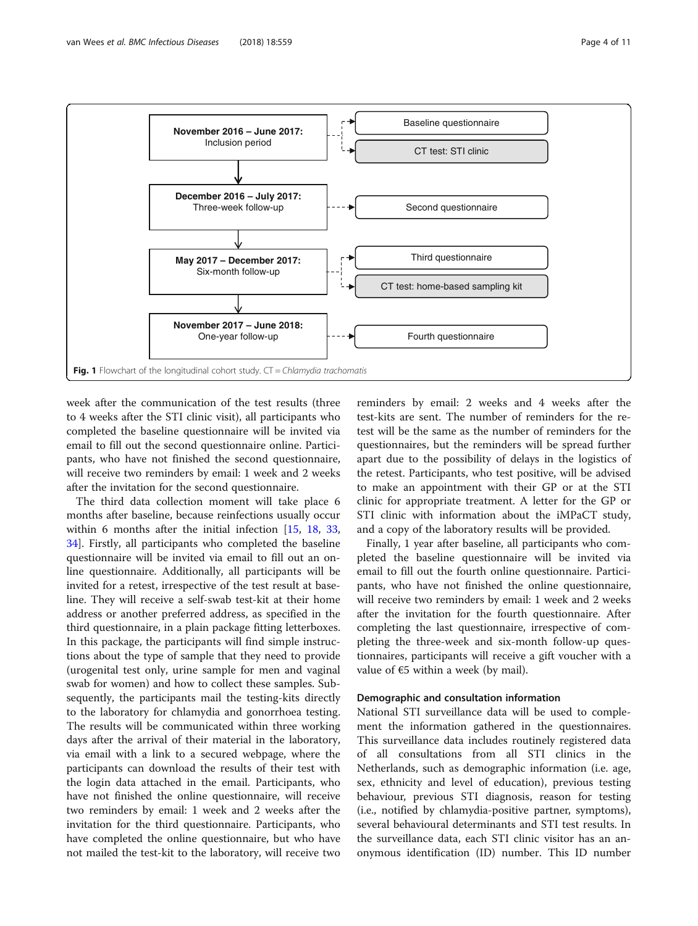<span id="page-3-0"></span>

week after the communication of the test results (three to 4 weeks after the STI clinic visit), all participants who completed the baseline questionnaire will be invited via email to fill out the second questionnaire online. Participants, who have not finished the second questionnaire, will receive two reminders by email: 1 week and 2 weeks after the invitation for the second questionnaire.

The third data collection moment will take place 6 months after baseline, because reinfections usually occur within 6 months after the initial infection [\[15](#page-9-0), [18,](#page-9-0) [33](#page-9-0), [34\]](#page-9-0). Firstly, all participants who completed the baseline questionnaire will be invited via email to fill out an online questionnaire. Additionally, all participants will be invited for a retest, irrespective of the test result at baseline. They will receive a self-swab test-kit at their home address or another preferred address, as specified in the third questionnaire, in a plain package fitting letterboxes. In this package, the participants will find simple instructions about the type of sample that they need to provide (urogenital test only, urine sample for men and vaginal swab for women) and how to collect these samples. Subsequently, the participants mail the testing-kits directly to the laboratory for chlamydia and gonorrhoea testing. The results will be communicated within three working days after the arrival of their material in the laboratory, via email with a link to a secured webpage, where the participants can download the results of their test with the login data attached in the email. Participants, who have not finished the online questionnaire, will receive two reminders by email: 1 week and 2 weeks after the invitation for the third questionnaire. Participants, who have completed the online questionnaire, but who have not mailed the test-kit to the laboratory, will receive two

reminders by email: 2 weeks and 4 weeks after the test-kits are sent. The number of reminders for the retest will be the same as the number of reminders for the questionnaires, but the reminders will be spread further apart due to the possibility of delays in the logistics of the retest. Participants, who test positive, will be advised to make an appointment with their GP or at the STI clinic for appropriate treatment. A letter for the GP or STI clinic with information about the iMPaCT study, and a copy of the laboratory results will be provided.

Finally, 1 year after baseline, all participants who completed the baseline questionnaire will be invited via email to fill out the fourth online questionnaire. Participants, who have not finished the online questionnaire, will receive two reminders by email: 1 week and 2 weeks after the invitation for the fourth questionnaire. After completing the last questionnaire, irrespective of completing the three-week and six-month follow-up questionnaires, participants will receive a gift voucher with a value of  $€5$  within a week (by mail).

# Demographic and consultation information

National STI surveillance data will be used to complement the information gathered in the questionnaires. This surveillance data includes routinely registered data of all consultations from all STI clinics in the Netherlands, such as demographic information (i.e. age, sex, ethnicity and level of education), previous testing behaviour, previous STI diagnosis, reason for testing (i.e., notified by chlamydia-positive partner, symptoms), several behavioural determinants and STI test results. In the surveillance data, each STI clinic visitor has an anonymous identification (ID) number. This ID number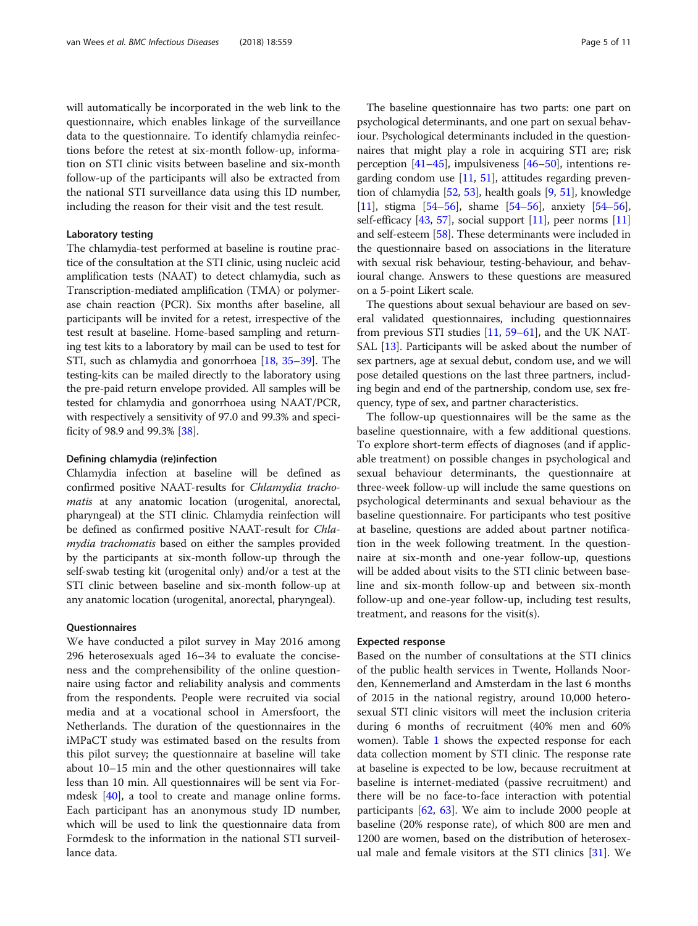will automatically be incorporated in the web link to the questionnaire, which enables linkage of the surveillance data to the questionnaire. To identify chlamydia reinfections before the retest at six-month follow-up, information on STI clinic visits between baseline and six-month follow-up of the participants will also be extracted from the national STI surveillance data using this ID number, including the reason for their visit and the test result.

# Laboratory testing

The chlamydia-test performed at baseline is routine practice of the consultation at the STI clinic, using nucleic acid amplification tests (NAAT) to detect chlamydia, such as Transcription-mediated amplification (TMA) or polymerase chain reaction (PCR). Six months after baseline, all participants will be invited for a retest, irrespective of the test result at baseline. Home-based sampling and returning test kits to a laboratory by mail can be used to test for STI, such as chlamydia and gonorrhoea [[18](#page-9-0), [35](#page-9-0)–[39\]](#page-10-0). The testing-kits can be mailed directly to the laboratory using the pre-paid return envelope provided. All samples will be tested for chlamydia and gonorrhoea using NAAT/PCR, with respectively a sensitivity of 97.0 and 99.3% and specificity of 98.9 and 99.3% [[38](#page-9-0)].

### Defining chlamydia (re)infection

Chlamydia infection at baseline will be defined as confirmed positive NAAT-results for Chlamydia trachomatis at any anatomic location (urogenital, anorectal, pharyngeal) at the STI clinic. Chlamydia reinfection will be defined as confirmed positive NAAT-result for Chlamydia trachomatis based on either the samples provided by the participants at six-month follow-up through the self-swab testing kit (urogenital only) and/or a test at the STI clinic between baseline and six-month follow-up at any anatomic location (urogenital, anorectal, pharyngeal).

# **Questionnaires**

We have conducted a pilot survey in May 2016 among 296 heterosexuals aged 16–34 to evaluate the conciseness and the comprehensibility of the online questionnaire using factor and reliability analysis and comments from the respondents. People were recruited via social media and at a vocational school in Amersfoort, the Netherlands. The duration of the questionnaires in the iMPaCT study was estimated based on the results from this pilot survey; the questionnaire at baseline will take about 10–15 min and the other questionnaires will take less than 10 min. All questionnaires will be sent via Formdesk [[40](#page-10-0)], a tool to create and manage online forms. Each participant has an anonymous study ID number, which will be used to link the questionnaire data from Formdesk to the information in the national STI surveillance data.

The baseline questionnaire has two parts: one part on psychological determinants, and one part on sexual behaviour. Psychological determinants included in the questionnaires that might play a role in acquiring STI are; risk perception [\[41](#page-10-0)–[45](#page-10-0)], impulsiveness [[46](#page-10-0)–[50\]](#page-10-0), intentions regarding condom use [[11](#page-9-0), [51\]](#page-10-0), attitudes regarding prevention of chlamydia [\[52,](#page-10-0) [53\]](#page-10-0), health goals [[9,](#page-9-0) [51\]](#page-10-0), knowledge [[11](#page-9-0)], stigma [[54](#page-10-0)–[56\]](#page-10-0), shame [[54](#page-10-0)–[56\]](#page-10-0), anxiety [\[54](#page-10-0)–[56](#page-10-0)], self-efficacy  $[43, 57]$  $[43, 57]$  $[43, 57]$  $[43, 57]$  $[43, 57]$ , social support  $[11]$ , peer norms  $[11]$  $[11]$  $[11]$ and self-esteem [\[58](#page-10-0)]. These determinants were included in the questionnaire based on associations in the literature with sexual risk behaviour, testing-behaviour, and behavioural change. Answers to these questions are measured on a 5-point Likert scale.

The questions about sexual behaviour are based on several validated questionnaires, including questionnaires from previous STI studies [\[11,](#page-9-0) [59](#page-10-0)–[61](#page-10-0)], and the UK NAT-SAL [\[13\]](#page-9-0). Participants will be asked about the number of sex partners, age at sexual debut, condom use, and we will pose detailed questions on the last three partners, including begin and end of the partnership, condom use, sex frequency, type of sex, and partner characteristics.

The follow-up questionnaires will be the same as the baseline questionnaire, with a few additional questions. To explore short-term effects of diagnoses (and if applicable treatment) on possible changes in psychological and sexual behaviour determinants, the questionnaire at three-week follow-up will include the same questions on psychological determinants and sexual behaviour as the baseline questionnaire. For participants who test positive at baseline, questions are added about partner notification in the week following treatment. In the questionnaire at six-month and one-year follow-up, questions will be added about visits to the STI clinic between baseline and six-month follow-up and between six-month follow-up and one-year follow-up, including test results, treatment, and reasons for the visit(s).

# Expected response

Based on the number of consultations at the STI clinics of the public health services in Twente, Hollands Noorden, Kennemerland and Amsterdam in the last 6 months of 2015 in the national registry, around 10,000 heterosexual STI clinic visitors will meet the inclusion criteria during 6 months of recruitment (40% men and 60% women). Table  $1$  shows the expected response for each data collection moment by STI clinic. The response rate at baseline is expected to be low, because recruitment at baseline is internet-mediated (passive recruitment) and there will be no face-to-face interaction with potential participants [[62,](#page-10-0) [63](#page-10-0)]. We aim to include 2000 people at baseline (20% response rate), of which 800 are men and 1200 are women, based on the distribution of heterosexual male and female visitors at the STI clinics [\[31](#page-9-0)]. We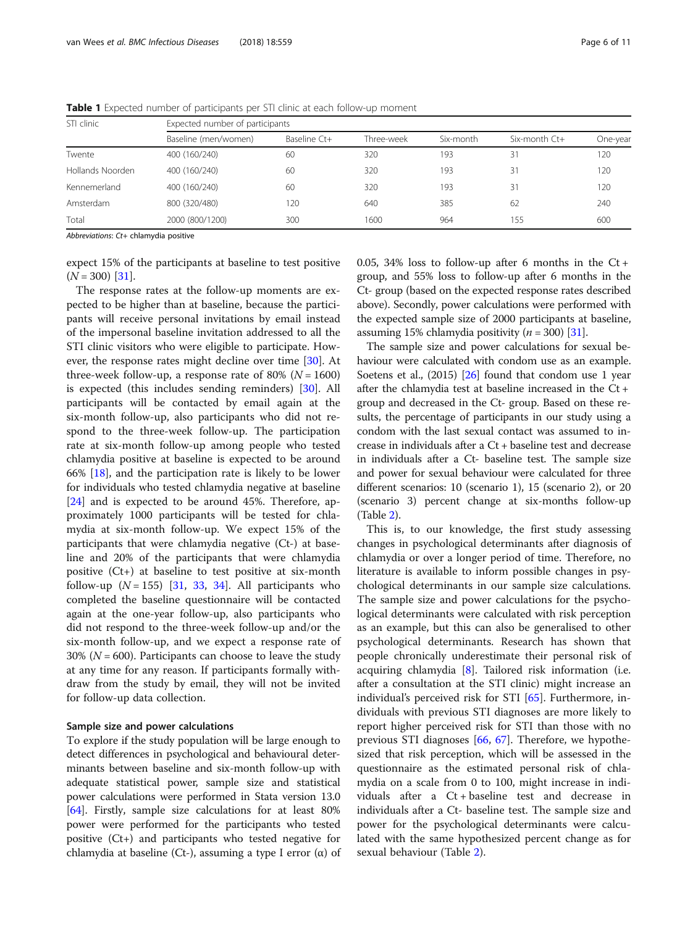| STI clinic       | Expected number of participants |              |            |           |               |          |  |  |
|------------------|---------------------------------|--------------|------------|-----------|---------------|----------|--|--|
|                  | Baseline (men/women)            | Baseline Ct+ | Three-week | Six-month | Six-month Ct+ | One-year |  |  |
| Twente           | 400 (160/240)                   | 60           | 320        | 193       | 31            | 120      |  |  |
| Hollands Noorden | 400 (160/240)                   | 60           | 320        | 193       | 31            | 120      |  |  |
| Kennemerland     | 400 (160/240)                   | 60           | 320        | 193       | 31            | 120      |  |  |
| Amsterdam        | 800 (320/480)                   | 120          | 640        | 385       | 62            | 240      |  |  |
| Total            | 2000 (800/1200)                 | 300          | 1600       | 964       | 155           | 600      |  |  |

<span id="page-5-0"></span>Table 1 Expected number of participants per STI clinic at each follow-up moment

Abbreviations: Ct+ chlamydia positive

expect 15% of the participants at baseline to test positive  $(N = 300)$  [[31](#page-9-0)].

The response rates at the follow-up moments are expected to be higher than at baseline, because the participants will receive personal invitations by email instead of the impersonal baseline invitation addressed to all the STI clinic visitors who were eligible to participate. However, the response rates might decline over time [[30\]](#page-9-0). At three-week follow-up, a response rate of 80% ( $N = 1600$ ) is expected (this includes sending reminders) [[30](#page-9-0)]. All participants will be contacted by email again at the six-month follow-up, also participants who did not respond to the three-week follow-up. The participation rate at six-month follow-up among people who tested chlamydia positive at baseline is expected to be around 66% [\[18\]](#page-9-0), and the participation rate is likely to be lower for individuals who tested chlamydia negative at baseline [[24\]](#page-9-0) and is expected to be around 45%. Therefore, approximately 1000 participants will be tested for chlamydia at six-month follow-up. We expect 15% of the participants that were chlamydia negative (Ct-) at baseline and 20% of the participants that were chlamydia positive (Ct+) at baseline to test positive at six-month follow-up  $(N = 155)$  [[31](#page-9-0), [33,](#page-9-0) [34\]](#page-9-0). All participants who completed the baseline questionnaire will be contacted again at the one-year follow-up, also participants who did not respond to the three-week follow-up and/or the six-month follow-up, and we expect a response rate of 30% ( $N = 600$ ). Participants can choose to leave the study at any time for any reason. If participants formally withdraw from the study by email, they will not be invited for follow-up data collection.

#### Sample size and power calculations

To explore if the study population will be large enough to detect differences in psychological and behavioural determinants between baseline and six-month follow-up with adequate statistical power, sample size and statistical power calculations were performed in Stata version 13.0 [[64](#page-10-0)]. Firstly, sample size calculations for at least 80% power were performed for the participants who tested positive (Ct+) and participants who tested negative for chlamydia at baseline (Ct-), assuming a type I error (α) of 0.05, 34% loss to follow-up after 6 months in the  $Ct +$ group, and 55% loss to follow-up after 6 months in the Ct- group (based on the expected response rates described above). Secondly, power calculations were performed with the expected sample size of 2000 participants at baseline, assuming 15% chlamydia positivity ( $n = 300$ ) [\[31\]](#page-9-0).

The sample size and power calculations for sexual behaviour were calculated with condom use as an example. Soetens et al., (2015) [\[26\]](#page-9-0) found that condom use 1 year after the chlamydia test at baseline increased in the Ct + group and decreased in the Ct- group. Based on these results, the percentage of participants in our study using a condom with the last sexual contact was assumed to increase in individuals after a Ct + baseline test and decrease in individuals after a Ct- baseline test. The sample size and power for sexual behaviour were calculated for three different scenarios: 10 (scenario 1), 15 (scenario 2), or 20 (scenario 3) percent change at six-months follow-up (Table [2\)](#page-6-0).

This is, to our knowledge, the first study assessing changes in psychological determinants after diagnosis of chlamydia or over a longer period of time. Therefore, no literature is available to inform possible changes in psychological determinants in our sample size calculations. The sample size and power calculations for the psychological determinants were calculated with risk perception as an example, but this can also be generalised to other psychological determinants. Research has shown that people chronically underestimate their personal risk of acquiring chlamydia  $[8]$  $[8]$ . Tailored risk information (i.e. after a consultation at the STI clinic) might increase an individual's perceived risk for STI [[65\]](#page-10-0). Furthermore, individuals with previous STI diagnoses are more likely to report higher perceived risk for STI than those with no previous STI diagnoses [\[66](#page-10-0), [67\]](#page-10-0). Therefore, we hypothesized that risk perception, which will be assessed in the questionnaire as the estimated personal risk of chlamydia on a scale from 0 to 100, might increase in individuals after a Ct + baseline test and decrease in individuals after a Ct- baseline test. The sample size and power for the psychological determinants were calculated with the same hypothesized percent change as for sexual behaviour (Table [2](#page-6-0)).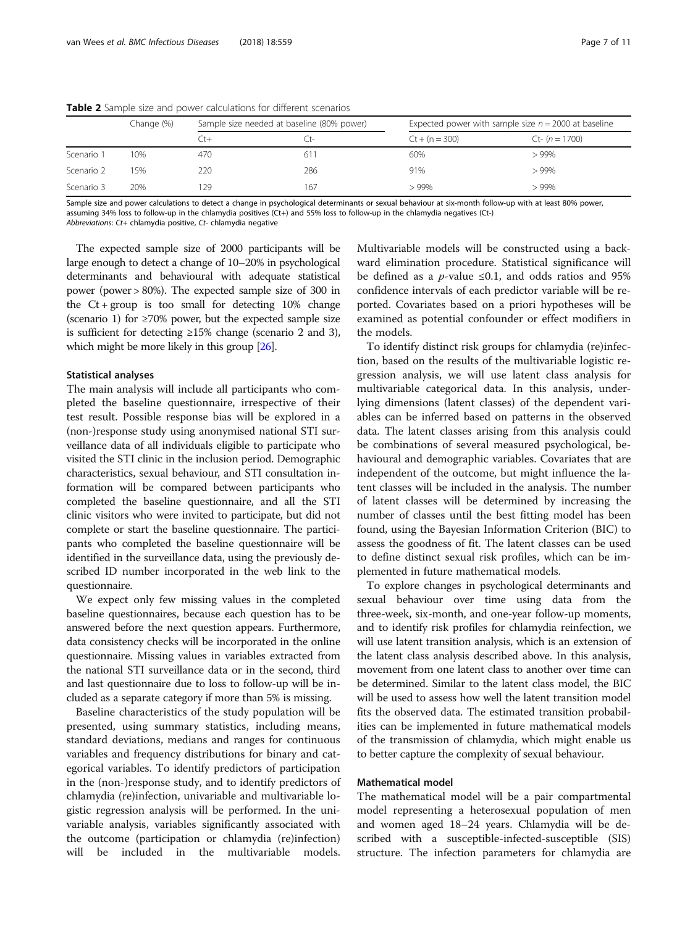|            | Change (%) | Sample size needed at baseline (80% power) |      | Expected power with sample size $n = 2000$ at baseline |                   |  |
|------------|------------|--------------------------------------------|------|--------------------------------------------------------|-------------------|--|
|            |            | Ct+                                        | . t- | $Ct + (n = 300)$                                       | $Ct - (n = 1700)$ |  |
| Scenario 1 | 10%        | 470                                        | 611  | 60%                                                    | >99%              |  |
| Scenario 2 | 15%        | 220                                        | 286  | 91%                                                    | >99%              |  |
| Scenario 3 | 20%        | 129                                        | 167  | >99%                                                   | >99%              |  |

<span id="page-6-0"></span>Table 2 Sample size and power calculations for different scenarios

Sample size and power calculations to detect a change in psychological determinants or sexual behaviour at six-month follow-up with at least 80% power, assuming 34% loss to follow-up in the chlamydia positives (Ct+) and 55% loss to follow-up in the chlamydia negatives (Ct-) Abbreviations: Ct+ chlamydia positive, Ct- chlamydia negative

The expected sample size of 2000 participants will be large enough to detect a change of 10–20% in psychological determinants and behavioural with adequate statistical power (power > 80%). The expected sample size of 300 in the  $Ct + group$  is too small for detecting 10% change (scenario 1) for ≥70% power, but the expected sample size

is sufficient for detecting  $\geq 15\%$  change (scenario 2 and 3),

which might be more likely in this group [\[26](#page-9-0)].

## Statistical analyses

The main analysis will include all participants who completed the baseline questionnaire, irrespective of their test result. Possible response bias will be explored in a (non-)response study using anonymised national STI surveillance data of all individuals eligible to participate who visited the STI clinic in the inclusion period. Demographic characteristics, sexual behaviour, and STI consultation information will be compared between participants who completed the baseline questionnaire, and all the STI clinic visitors who were invited to participate, but did not complete or start the baseline questionnaire. The participants who completed the baseline questionnaire will be identified in the surveillance data, using the previously described ID number incorporated in the web link to the questionnaire.

We expect only few missing values in the completed baseline questionnaires, because each question has to be answered before the next question appears. Furthermore, data consistency checks will be incorporated in the online questionnaire. Missing values in variables extracted from the national STI surveillance data or in the second, third and last questionnaire due to loss to follow-up will be included as a separate category if more than 5% is missing.

Baseline characteristics of the study population will be presented, using summary statistics, including means, standard deviations, medians and ranges for continuous variables and frequency distributions for binary and categorical variables. To identify predictors of participation in the (non-)response study, and to identify predictors of chlamydia (re)infection, univariable and multivariable logistic regression analysis will be performed. In the univariable analysis, variables significantly associated with the outcome (participation or chlamydia (re)infection) will be included in the multivariable models. Multivariable models will be constructed using a backward elimination procedure. Statistical significance will be defined as a *p*-value  $\leq 0.1$ , and odds ratios and 95% confidence intervals of each predictor variable will be reported. Covariates based on a priori hypotheses will be examined as potential confounder or effect modifiers in the models.

To identify distinct risk groups for chlamydia (re)infection, based on the results of the multivariable logistic regression analysis, we will use latent class analysis for multivariable categorical data. In this analysis, underlying dimensions (latent classes) of the dependent variables can be inferred based on patterns in the observed data. The latent classes arising from this analysis could be combinations of several measured psychological, behavioural and demographic variables. Covariates that are independent of the outcome, but might influence the latent classes will be included in the analysis. The number of latent classes will be determined by increasing the number of classes until the best fitting model has been found, using the Bayesian Information Criterion (BIC) to assess the goodness of fit. The latent classes can be used to define distinct sexual risk profiles, which can be implemented in future mathematical models.

To explore changes in psychological determinants and sexual behaviour over time using data from the three-week, six-month, and one-year follow-up moments, and to identify risk profiles for chlamydia reinfection, we will use latent transition analysis, which is an extension of the latent class analysis described above. In this analysis, movement from one latent class to another over time can be determined. Similar to the latent class model, the BIC will be used to assess how well the latent transition model fits the observed data. The estimated transition probabilities can be implemented in future mathematical models of the transmission of chlamydia, which might enable us to better capture the complexity of sexual behaviour.

## Mathematical model

The mathematical model will be a pair compartmental model representing a heterosexual population of men and women aged 18–24 years. Chlamydia will be described with a susceptible-infected-susceptible (SIS) structure. The infection parameters for chlamydia are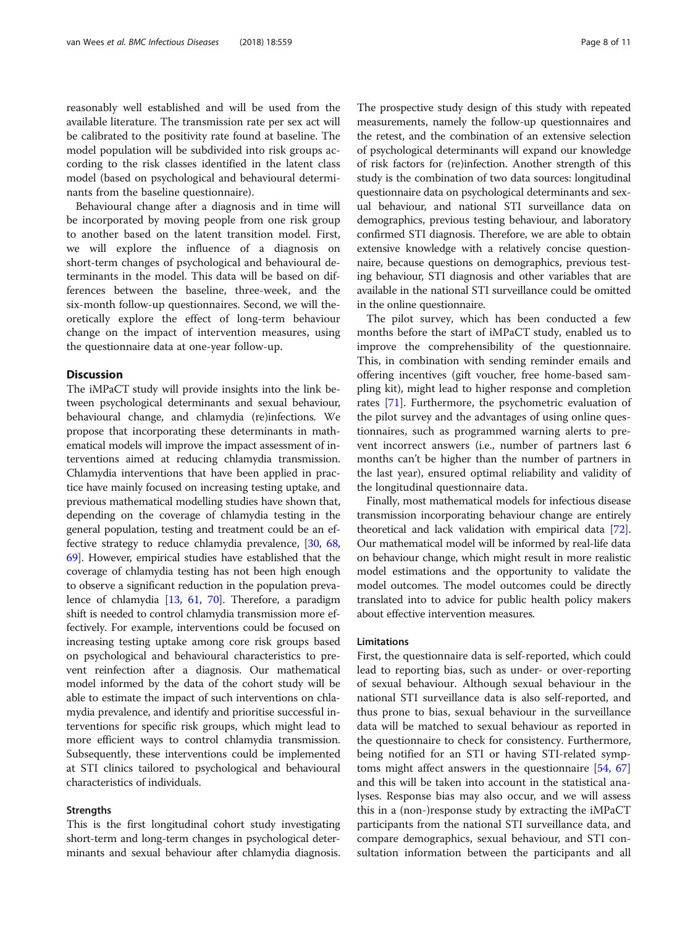reasonably well established and will be used from the available literature. The transmission rate per sex act will be calibrated to the positivity rate found at baseline. The model population will be subdivided into risk groups according to the risk classes identified in the latent class model (based on psychological and behavioural determinants from the baseline questionnaire).

Behavioural change after a diagnosis and in time will be incorporated by moving people from one risk group to another based on the latent transition model. First, we will explore the influence of a diagnosis on short-term changes of psychological and behavioural determinants in the model. This data will be based on differences between the baseline, three-week, and the six-month follow-up questionnaires. Second, we will theoretically explore the effect of long-term behaviour change on the impact of intervention measures, using the questionnaire data at one-year follow-up.

# Discussion

The iMPaCT study will provide insights into the link between psychological determinants and sexual behaviour, behavioural change, and chlamydia (re)infections. We propose that incorporating these determinants in mathematical models will improve the impact assessment of interventions aimed at reducing chlamydia transmission. Chlamydia interventions that have been applied in practice have mainly focused on increasing testing uptake, and previous mathematical modelling studies have shown that, depending on the coverage of chlamydia testing in the general population, testing and treatment could be an effective strategy to reduce chlamydia prevalence, [[30](#page-9-0), [68](#page-10-0), [69](#page-10-0)]. However, empirical studies have established that the coverage of chlamydia testing has not been high enough to observe a significant reduction in the population prevalence of chlamydia [[13,](#page-9-0) [61](#page-10-0), [70\]](#page-10-0). Therefore, a paradigm shift is needed to control chlamydia transmission more effectively. For example, interventions could be focused on increasing testing uptake among core risk groups based on psychological and behavioural characteristics to prevent reinfection after a diagnosis. Our mathematical model informed by the data of the cohort study will be able to estimate the impact of such interventions on chlamydia prevalence, and identify and prioritise successful interventions for specific risk groups, which might lead to more efficient ways to control chlamydia transmission. Subsequently, these interventions could be implemented at STI clinics tailored to psychological and behavioural characteristics of individuals.

#### **Strengths**

This is the first longitudinal cohort study investigating short-term and long-term changes in psychological determinants and sexual behaviour after chlamydia diagnosis.

The prospective study design of this study with repeated measurements, namely the follow-up questionnaires and the retest, and the combination of an extensive selection of psychological determinants will expand our knowledge of risk factors for (re)infection. Another strength of this study is the combination of two data sources: longitudinal questionnaire data on psychological determinants and sexual behaviour, and national STI surveillance data on demographics, previous testing behaviour, and laboratory confirmed STI diagnosis. Therefore, we are able to obtain extensive knowledge with a relatively concise questionnaire, because questions on demographics, previous testing behaviour, STI diagnosis and other variables that are available in the national STI surveillance could be omitted in the online questionnaire.

The pilot survey, which has been conducted a few months before the start of iMPaCT study, enabled us to improve the comprehensibility of the questionnaire. This, in combination with sending reminder emails and offering incentives (gift voucher, free home-based sampling kit), might lead to higher response and completion rates [\[71](#page-10-0)]. Furthermore, the psychometric evaluation of the pilot survey and the advantages of using online questionnaires, such as programmed warning alerts to prevent incorrect answers (i.e., number of partners last 6 months can't be higher than the number of partners in the last year), ensured optimal reliability and validity of the longitudinal questionnaire data.

Finally, most mathematical models for infectious disease transmission incorporating behaviour change are entirely theoretical and lack validation with empirical data [[72](#page-10-0)]. Our mathematical model will be informed by real-life data on behaviour change, which might result in more realistic model estimations and the opportunity to validate the model outcomes. The model outcomes could be directly translated into to advice for public health policy makers about effective intervention measures.

### Limitations

First, the questionnaire data is self-reported, which could lead to reporting bias, such as under- or over-reporting of sexual behaviour. Although sexual behaviour in the national STI surveillance data is also self-reported, and thus prone to bias, sexual behaviour in the surveillance data will be matched to sexual behaviour as reported in the questionnaire to check for consistency. Furthermore, being notified for an STI or having STI-related symptoms might affect answers in the questionnaire [[54,](#page-10-0) [67](#page-10-0)] and this will be taken into account in the statistical analyses. Response bias may also occur, and we will assess this in a (non-)response study by extracting the iMPaCT participants from the national STI surveillance data, and compare demographics, sexual behaviour, and STI consultation information between the participants and all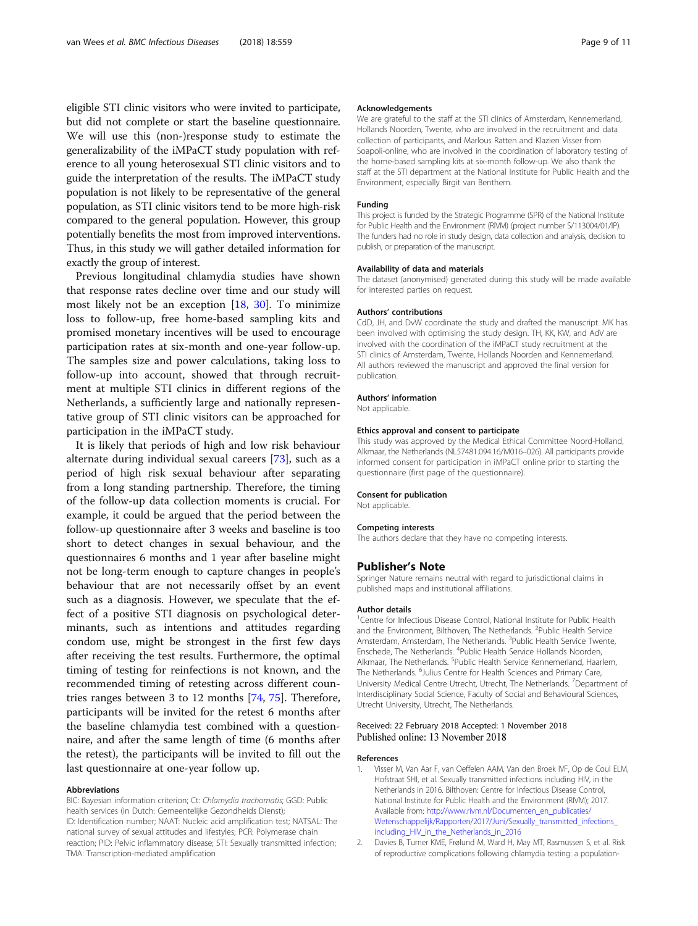<span id="page-8-0"></span>eligible STI clinic visitors who were invited to participate, but did not complete or start the baseline questionnaire. We will use this (non-)response study to estimate the generalizability of the iMPaCT study population with reference to all young heterosexual STI clinic visitors and to guide the interpretation of the results. The iMPaCT study population is not likely to be representative of the general population, as STI clinic visitors tend to be more high-risk compared to the general population. However, this group potentially benefits the most from improved interventions. Thus, in this study we will gather detailed information for exactly the group of interest.

Previous longitudinal chlamydia studies have shown that response rates decline over time and our study will most likely not be an exception [\[18](#page-9-0), [30\]](#page-9-0). To minimize loss to follow-up, free home-based sampling kits and promised monetary incentives will be used to encourage participation rates at six-month and one-year follow-up. The samples size and power calculations, taking loss to follow-up into account, showed that through recruitment at multiple STI clinics in different regions of the Netherlands, a sufficiently large and nationally representative group of STI clinic visitors can be approached for participation in the iMPaCT study.

It is likely that periods of high and low risk behaviour alternate during individual sexual careers [[73](#page-10-0)], such as a period of high risk sexual behaviour after separating from a long standing partnership. Therefore, the timing of the follow-up data collection moments is crucial. For example, it could be argued that the period between the follow-up questionnaire after 3 weeks and baseline is too short to detect changes in sexual behaviour, and the questionnaires 6 months and 1 year after baseline might not be long-term enough to capture changes in people's behaviour that are not necessarily offset by an event such as a diagnosis. However, we speculate that the effect of a positive STI diagnosis on psychological determinants, such as intentions and attitudes regarding condom use, might be strongest in the first few days after receiving the test results. Furthermore, the optimal timing of testing for reinfections is not known, and the recommended timing of retesting across different countries ranges between 3 to 12 months [\[74](#page-10-0), [75\]](#page-10-0). Therefore, participants will be invited for the retest 6 months after the baseline chlamydia test combined with a questionnaire, and after the same length of time (6 months after the retest), the participants will be invited to fill out the last questionnaire at one-year follow up.

#### Abbreviations

BIC: Bayesian information criterion; Ct: Chlamydia trachomatis; GGD: Public health services (in Dutch: Gemeentelijke Gezondheids Dienst); ID: Identification number; NAAT: Nucleic acid amplification test; NATSAL: The national survey of sexual attitudes and lifestyles; PCR: Polymerase chain reaction; PID: Pelvic inflammatory disease; STI: Sexually transmitted infection; TMA: Transcription-mediated amplification

#### Acknowledgements

We are grateful to the staff at the STI clinics of Amsterdam, Kennemerland, Hollands Noorden, Twente, who are involved in the recruitment and data collection of participants, and Marlous Ratten and Klazien Visser from Soapoli-online, who are involved in the coordination of laboratory testing of the home-based sampling kits at six-month follow-up. We also thank the staff at the STI department at the National Institute for Public Health and the Environment, especially Birgit van Benthem.

#### Funding

This project is funded by the Strategic Programme (SPR) of the National Institute for Public Health and the Environment (RIVM) (project number S/113004/01/IP). The funders had no role in study design, data collection and analysis, decision to publish, or preparation of the manuscript.

#### Availability of data and materials

The dataset (anonymised) generated during this study will be made available for interested parties on request.

#### Authors' contributions

CdD, JH, and DvW coordinate the study and drafted the manuscript. MK has been involved with optimising the study design. TH, KK, KW, and AdV are involved with the coordination of the iMPaCT study recruitment at the STI clinics of Amsterdam, Twente, Hollands Noorden and Kennemerland. All authors reviewed the manuscript and approved the final version for publication.

#### Authors' information

Not applicable.

#### Ethics approval and consent to participate

This study was approved by the Medical Ethical Committee Noord-Holland, Alkmaar, the Netherlands (NL57481.094.16/M016–026). All participants provide informed consent for participation in iMPaCT online prior to starting the questionnaire (first page of the questionnaire).

#### Consent for publication

Not applicable.

#### Competing interests

The authors declare that they have no competing interests.

#### Publisher's Note

Springer Nature remains neutral with regard to jurisdictional claims in published maps and institutional affiliations.

#### Author details

<sup>1</sup> Centre for Infectious Disease Control, National Institute for Public Health and the Environment, Bilthoven, The Netherlands. <sup>2</sup>Public Health Service Amsterdam, Amsterdam, The Netherlands. <sup>3</sup>Public Health Service Twente Enschede, The Netherlands. <sup>4</sup>Public Health Service Hollands Noorden, Alkmaar, The Netherlands. <sup>5</sup>Public Health Service Kennemerland, Haarlem, The Netherlands. <sup>6</sup>Julius Centre for Health Sciences and Primary Care, University Medical Centre Utrecht, Utrecht, The Netherlands. <sup>7</sup>Department of Interdisciplinary Social Science, Faculty of Social and Behavioural Sciences, Utrecht University, Utrecht, The Netherlands.

#### Received: 22 February 2018 Accepted: 1 November 2018 Published online: 13 November 2018

#### References

- 1. Visser M, Van Aar F, van Oeffelen AAM, Van den Broek IVF, Op de Coul ELM, Hofstraat SHI, et al. Sexually transmitted infections including HIV, in the Netherlands in 2016. Bilthoven: Centre for Infectious Disease Control, National Institute for Public Health and the Environment (RIVM); 2017. Available from: [http://www.rivm.nl/Documenten\\_en\\_publicaties/](http://www.rivm.nl/Documenten_en_publicaties/Wetenschappelijk/Rapporten/2017/Juni/Sexually_transmitted_infections_including_HIV_in_the_Netherlands_in_2016) [Wetenschappelijk/Rapporten/2017/Juni/Sexually\\_transmitted\\_infections\\_](http://www.rivm.nl/Documenten_en_publicaties/Wetenschappelijk/Rapporten/2017/Juni/Sexually_transmitted_infections_including_HIV_in_the_Netherlands_in_2016) [including\\_HIV\\_in\\_the\\_Netherlands\\_in\\_2016](http://www.rivm.nl/Documenten_en_publicaties/Wetenschappelijk/Rapporten/2017/Juni/Sexually_transmitted_infections_including_HIV_in_the_Netherlands_in_2016)
- 2. Davies B, Turner KME, Frølund M, Ward H, May MT, Rasmussen S, et al. Risk of reproductive complications following chlamydia testing: a population-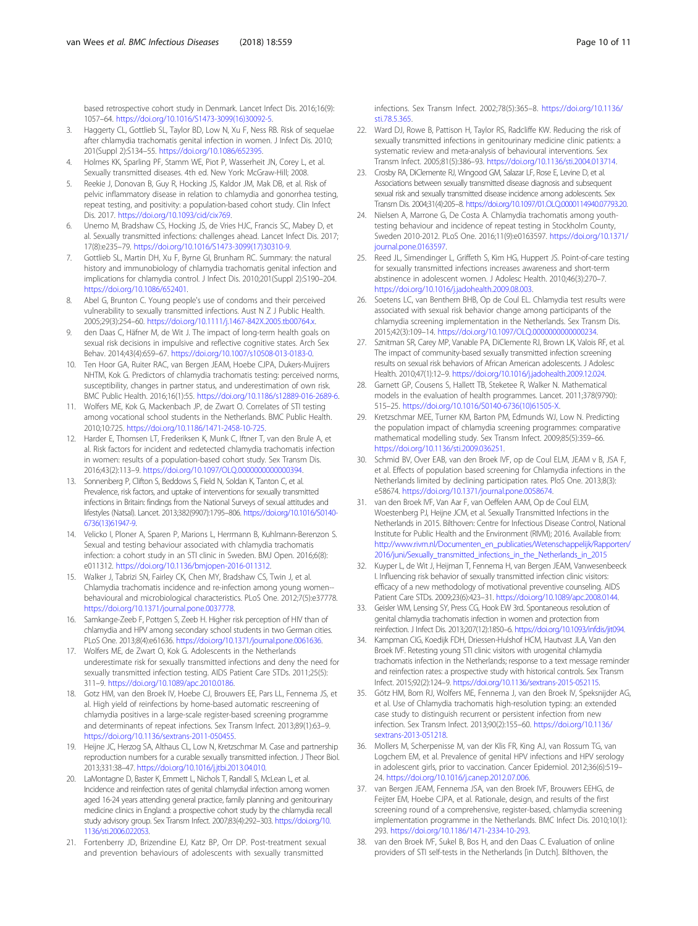<span id="page-9-0"></span>based retrospective cohort study in Denmark. Lancet Infect Dis. 2016;16(9): 1057–64. [https://doi.org/10.1016/S1473-3099\(16\)30092-5.](https://doi.org/10.1016/S1473-3099(16)30092-5)

- 3. Haggerty CL, Gottlieb SL, Taylor BD, Low N, Xu F, Ness RB. Risk of sequelae after chlamydia trachomatis genital infection in women. J Infect Dis. 2010; 201(Suppl 2):S134–55. <https://doi.org/10.1086/652395>.
- 4. Holmes KK, Sparling PF, Stamm WE, Piot P, Wasserheit JN, Corey L, et al. Sexually transmitted diseases. 4th ed. New York: McGraw-Hill; 2008.
- 5. Reekie J, Donovan B, Guy R, Hocking JS, Kaldor JM, Mak DB, et al. Risk of pelvic inflammatory disease in relation to chlamydia and gonorrhea testing, repeat testing, and positivity: a population-based cohort study. Clin Infect Dis. 2017. [https://doi.org/10.1093/cid/cix769.](https://doi.org/10.1093/cid/cix769)
- 6. Unemo M, Bradshaw CS, Hocking JS, de Vries HJC, Francis SC, Mabey D, et al. Sexually transmitted infections: challenges ahead. Lancet Infect Dis. 2017; 17(8):e235–79. [https://doi.org/10.1016/S1473-3099\(17\)30310-9](https://doi.org/10.1016/S1473-3099(17)30310-9).
- 7. Gottlieb SL, Martin DH, Xu F, Byrne GI, Brunham RC. Summary: the natural history and immunobiology of chlamydia trachomatis genital infection and implications for chlamydia control. J Infect Dis. 2010;201(Suppl 2):S190–204. <https://doi.org/10.1086/652401>.
- 8. Abel G, Brunton C. Young people's use of condoms and their perceived vulnerability to sexually transmitted infections. Aust N Z J Public Health. 2005;29(3):254–60. [https://doi.org/10.1111/j.1467-842X.2005.tb00764.x.](https://doi.org/10.1111/j.1467-842X.2005.tb00764.x)
- den Daas C, Häfner M, de Wit J. The impact of long-term health goals on sexual risk decisions in impulsive and reflective cognitive states. Arch Sex Behav. 2014;43(4):659–67. <https://doi.org/10.1007/s10508-013-0183-0>.
- 10. Ten Hoor GA, Ruiter RAC, van Bergen JEAM, Hoebe CJPA, Dukers-Muijrers NHTM, Kok G. Predictors of chlamydia trachomatis testing: perceived norms, susceptibility, changes in partner status, and underestimation of own risk. BMC Public Health. 2016;16(1):55. [https://doi.org/10.1186/s12889-016-2689-6.](https://doi.org/10.1186/s12889-016-2689-6)
- 11. Wolfers ME, Kok G, Mackenbach JP, de Zwart O. Correlates of STI testing among vocational school students in the Netherlands. BMC Public Health. 2010;10:725. [https://doi.org/10.1186/1471-2458-10-725.](https://doi.org/10.1186/1471-2458-10-725)
- 12. Harder E, Thomsen LT, Frederiksen K, Munk C, Iftner T, van den Brule A, et al. Risk factors for incident and redetected chlamydia trachomatis infection in women: results of a population-based cohort study. Sex Transm Dis. 2016;43(2):113–9. [https://doi.org/10.1097/OLQ.0000000000000394.](https://doi.org/10.1097/OLQ.0000000000000394)
- 13. Sonnenberg P, Clifton S, Beddows S, Field N, Soldan K, Tanton C, et al. Prevalence, risk factors, and uptake of interventions for sexually transmitted infections in Britain: findings from the National Surveys of sexual attitudes and lifestyles (Natsal). Lancet. 2013;382(9907):1795–806. [https://doi.org/10.1016/S0140-](https://doi.org/10.1016/S0140-6736(13)61947-9) [6736\(13\)61947-9.](https://doi.org/10.1016/S0140-6736(13)61947-9)
- 14. Velicko I, Ploner A, Sparen P, Marions L, Herrmann B, Kuhlmann-Berenzon S. Sexual and testing behaviour associated with chlamydia trachomatis infection: a cohort study in an STI clinic in Sweden. BMJ Open. 2016;6(8): e011312. <https://doi.org/10.1136/bmjopen-2016-011312>.
- 15. Walker J, Tabrizi SN, Fairley CK, Chen MY, Bradshaw CS, Twin J, et al. Chlamydia trachomatis incidence and re-infection among young women- behavioural and microbiological characteristics. PLoS One. 2012;7(5):e37778. [https://doi.org/10.1371/journal.pone.0037778.](https://doi.org/10.1371/journal.pone.0037778)
- 16. Samkange-Zeeb F, Pottgen S, Zeeb H. Higher risk perception of HIV than of chlamydia and HPV among secondary school students in two German cities. PLoS One. 2013;8(4):e61636. <https://doi.org/10.1371/journal.pone.0061636>.
- 17. Wolfers ME, de Zwart O, Kok G. Adolescents in the Netherlands underestimate risk for sexually transmitted infections and deny the need for sexually transmitted infection testing. AIDS Patient Care STDs. 2011;25(5): 311–9. <https://doi.org/10.1089/apc.2010.0186>.
- 18. Gotz HM, van den Broek IV, Hoebe CJ, Brouwers EE, Pars LL, Fennema JS, et al. High yield of reinfections by home-based automatic rescreening of chlamydia positives in a large-scale register-based screening programme and determinants of repeat infections. Sex Transm Infect. 2013;89(1):63–9. <https://doi.org/10.1136/sextrans-2011-050455>.
- 19. Heijne JC, Herzog SA, Althaus CL, Low N, Kretzschmar M. Case and partnership reproduction numbers for a curable sexually transmitted infection. J Theor Biol. 2013;331:38–47. <https://doi.org/10.1016/j.jtbi.2013.04.010>.
- 20. LaMontagne D, Baster K, Emmett L, Nichols T, Randall S, McLean L, et al. Incidence and reinfection rates of genital chlamydial infection among women aged 16-24 years attending general practice, family planning and genitourinary medicine clinics in England: a prospective cohort study by the chlamydia recall study advisory group. Sex Transm Infect. 2007;83(4):292–303. [https://doi.org/10.](https://doi.org/10.1136/sti.2006.022053) [1136/sti.2006.022053.](https://doi.org/10.1136/sti.2006.022053)
- 21. Fortenberry JD, Brizendine EJ, Katz BP, Orr DP. Post-treatment sexual and prevention behaviours of adolescents with sexually transmitted

infections. Sex Transm Infect. 2002;78(5):365–8. [https://doi.org/10.1136/](https://doi.org/10.1136/sti.78.5.365) [sti.78.5.365](https://doi.org/10.1136/sti.78.5.365).

- 22. Ward DJ, Rowe B, Pattison H, Taylor RS, Radcliffe KW. Reducing the risk of sexually transmitted infections in genitourinary medicine clinic patients: a systematic review and meta-analysis of behavioural interventions. Sex Transm Infect. 2005;81(5):386–93. [https://doi.org/10.1136/sti.2004.013714.](https://doi.org/10.1136/sti.2004.013714)
- 23. Crosby RA, DiClemente RJ, Wingood GM, Salazar LF, Rose E, Levine D, et al. Associations between sexually transmitted disease diagnosis and subsequent sexual risk and sexually transmitted disease incidence among adolescents. Sex Transm Dis. 2004;31(4):205–8. [https://doi.org/10.1097/01.OLQ.0000114940.07793.20.](https://doi.org/10.1097/01.OLQ.0000114940.07793.20)
- 24. Nielsen A, Marrone G, De Costa A. Chlamydia trachomatis among youthtesting behaviour and incidence of repeat testing in Stockholm County, Sweden 2010-2012. PLoS One. 2016;11(9):e0163597. [https://doi.org/10.1371/](https://doi.org/10.1371/journal.pone.0163597) [journal.pone.0163597](https://doi.org/10.1371/journal.pone.0163597)
- 25. Reed JL, Simendinger L, Griffeth S, Kim HG, Huppert JS. Point-of-care testing for sexually transmitted infections increases awareness and short-term abstinence in adolescent women. J Adolesc Health. 2010;46(3):270–7. [https://doi.org/10.1016/j.jadohealth.2009.08.003.](https://doi.org/10.1016/j.jadohealth.2009.08.003)
- 26. Soetens LC, van Benthem BHB, Op de Coul EL. Chlamydia test results were associated with sexual risk behavior change among participants of the chlamydia screening implementation in the Netherlands. Sex Transm Dis. 2015;42(3):109–14. <https://doi.org/10.1097/OLQ.0000000000000234>.
- 27. Sznitman SR, Carey MP, Vanable PA, DiClemente RJ, Brown LK, Valois RF, et al. The impact of community-based sexually transmitted infection screening results on sexual risk behaviors of African American adolescents. J Adolesc Health. 2010;47(1):12–9. <https://doi.org/10.1016/j.jadohealth.2009.12.024>.
- 28. Garnett GP, Cousens S, Hallett TB, Steketee R, Walker N. Mathematical models in the evaluation of health programmes. Lancet. 2011;378(9790): 515–25. [https://doi.org/10.1016/S0140-6736\(10\)61505-X](https://doi.org/10.1016/S0140-6736(10)61505-X).
- 29. Kretzschmar MEE, Turner KM, Barton PM, Edmunds WJ, Low N. Predicting the population impact of chlamydia screening programmes: comparative mathematical modelling study. Sex Transm Infect. 2009;85(5):359–66. [https://doi.org/10.1136/sti.2009.036251.](https://doi.org/10.1136/sti.2009.036251)
- 30. Schmid BV, Over EAB, van den Broek IVF, op de Coul ELM, JEAM v B, JSA F, et al. Effects of population based screening for Chlamydia infections in the Netherlands limited by declining participation rates. PloS One. 2013;8(3): e58674. <https://doi.org/10.1371/journal.pone.0058674>.
- 31. van den Broek IVF, Van Aar F, van Oeffelen AAM, Op de Coul ELM, Woestenberg PJ, Heijne JCM, et al. Sexually Transmitted Infections in the Netherlands in 2015. Bilthoven: Centre for Infectious Disease Control, National Institute for Public Health and the Environment (RIVM); 2016. Available from: [http://www.rivm.nl/Documenten\\_en\\_publicaties/Wetenschappelijk/Rapporten/](http://www.rivm.nl/Documenten_en_publicaties/Wetenschappelijk/Rapporten/2016/juni/Sexually_transmitted_infections_in_the_Netherlands_in_2015) [2016/juni/Sexually\\_transmitted\\_infections\\_in\\_the\\_Netherlands\\_in\\_2015](http://www.rivm.nl/Documenten_en_publicaties/Wetenschappelijk/Rapporten/2016/juni/Sexually_transmitted_infections_in_the_Netherlands_in_2015)
- 32. Kuyper L, de Wit J, Heijman T, Fennema H, van Bergen JEAM, Vanwesenbeeck I. Influencing risk behavior of sexually transmitted infection clinic visitors: efficacy of a new methodology of motivational preventive counseling. AIDS Patient Care STDs. 2009;23(6):423–31. <https://doi.org/10.1089/apc.2008.0144>.
- 33. Geisler WM, Lensing SY, Press CG, Hook EW 3rd. Spontaneous resolution of genital chlamydia trachomatis infection in women and protection from reinfection. J Infect Dis. 2013;207(12):1850–6. <https://doi.org/10.1093/infdis/jit094>.
- 34. Kampman CIG, Koedijk FDH, Driessen-Hulshof HCM, Hautvast JLA, Van den Broek IVF. Retesting young STI clinic visitors with urogenital chlamydia trachomatis infection in the Netherlands; response to a text message reminder and reinfection rates: a prospective study with historical controls. Sex Transm Infect. 2015;92(2):124–9. <https://doi.org/10.1136/sextrans-2015-052115>.
- 35. Götz HM, Bom RJ, Wolfers ME, Fennema J, van den Broek IV, Speksnijder AG, et al. Use of Chlamydia trachomatis high-resolution typing: an extended case study to distinguish recurrent or persistent infection from new infection. Sex Transm Infect. 2013;90(2):155–60. [https://doi.org/10.1136/](https://doi.org/10.1136/sextrans-2013-051218) [sextrans-2013-051218.](https://doi.org/10.1136/sextrans-2013-051218)
- 36. Mollers M, Scherpenisse M, van der Klis FR, King AJ, van Rossum TG, van Logchem EM, et al. Prevalence of genital HPV infections and HPV serology in adolescent girls, prior to vaccination. Cancer Epidemiol. 2012;36(6):519– 24. <https://doi.org/10.1016/j.canep.2012.07.006>.
- 37. van Bergen JEAM, Fennema JSA, van den Broek IVF, Brouwers EEHG, de Feijter EM, Hoebe CJPA, et al. Rationale, design, and results of the first screening round of a comprehensive, register-based, chlamydia screening implementation programme in the Netherlands. BMC Infect Dis. 2010;10(1): 293. <https://doi.org/10.1186/1471-2334-10-293>.
- 38. van den Broek IVF, Sukel B, Bos H, and den Daas C. Evaluation of online providers of STI self-tests in the Netherlands [in Dutch]. Bilthoven, the